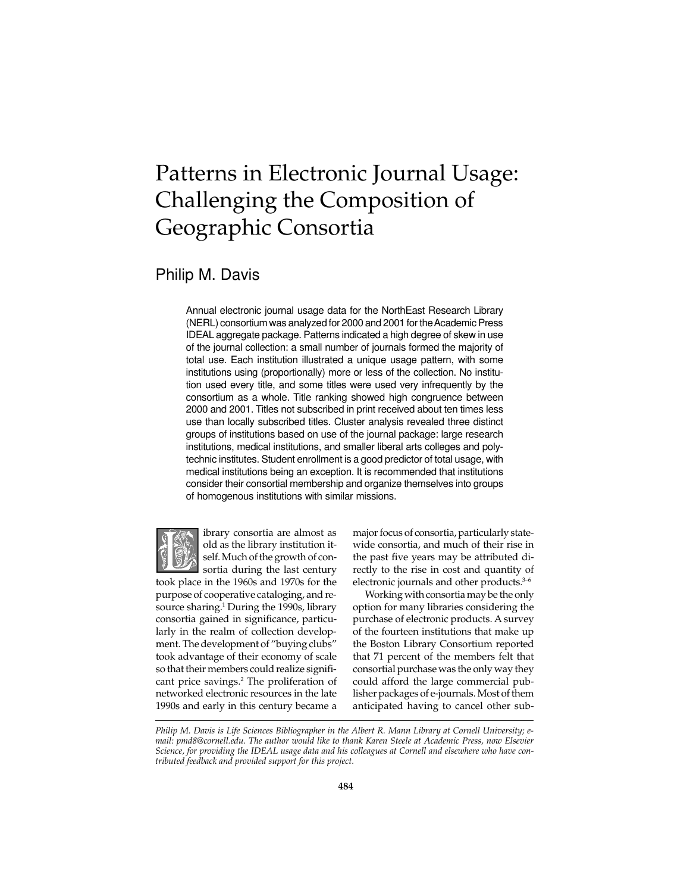# Patterns in Electronic Journal Usage: Challenging the Composition of Geographic Consortia

## Philip M. Davis

Annual electronic journal usage data for the NorthEast Research Library (NERL) consortium was analyzed for 2000 and 2001 for the Academic Press IDEAL aggregate package. Patterns indicated a high degree of skew in use of the journal collection: a small number of journals formed the majority of total use. Each institution illustrated a unique usage pattern, with some institutions using (proportionally) more or less of the collection. No institution used every title, and some titles were used very infrequently by the consortium as a whole. Title ranking showed high congruence between 2000 and 2001. Titles not subscribed in print received about ten times less use than locally subscribed titles. Cluster analysis revealed three distinct groups of institutions based on use of the journal package: large research institutions, medical institutions, and smaller liberal arts colleges and polytechnic institutes. Student enrollment is a good predictor of total usage, with medical institutions being an exception. It is recommended that institutions consider their consortial membership and organize themselves into groups of homogenous institutions with similar missions.



ibrary consortia are almost as old as the library institution itself. Much of the growth of consortia during the last century

took place in the 1960s and 1970s for the purpose of cooperative cataloging, and resource sharing.<sup>1</sup> During the 1990s, library consortia gained in significance, particularly in the realm of collection development. The development of "buying clubs" took advantage of their economy of scale so that their members could realize significant price savings.<sup>2</sup> The proliferation of networked electronic resources in the late 1990s and early in this century became a

major focus of consortia, particularly statewide consortia, and much of their rise in the past five years may be attributed directly to the rise in cost and quantity of electronic journals and other products.3–6

Working with consortia may be the only option for many libraries considering the purchase of electronic products. A survey of the fourteen institutions that make up the Boston Library Consortium reported that 71 percent of the members felt that consortial purchase was the only way they could afford the large commercial publisher packages of e-journals. Most of them anticipated having to cancel other sub-

*Philip M. Davis is Life Sciences Bibliographer in the Albert R. Mann Library at Cornell University; email: pmd8@cornell.edu. The author would like to thank Karen Steele at Academic Press, now Elsevier Science, for providing the IDEAL usage data and his colleagues at Cornell and elsewhere who have contributed feedback and provided support for this project.*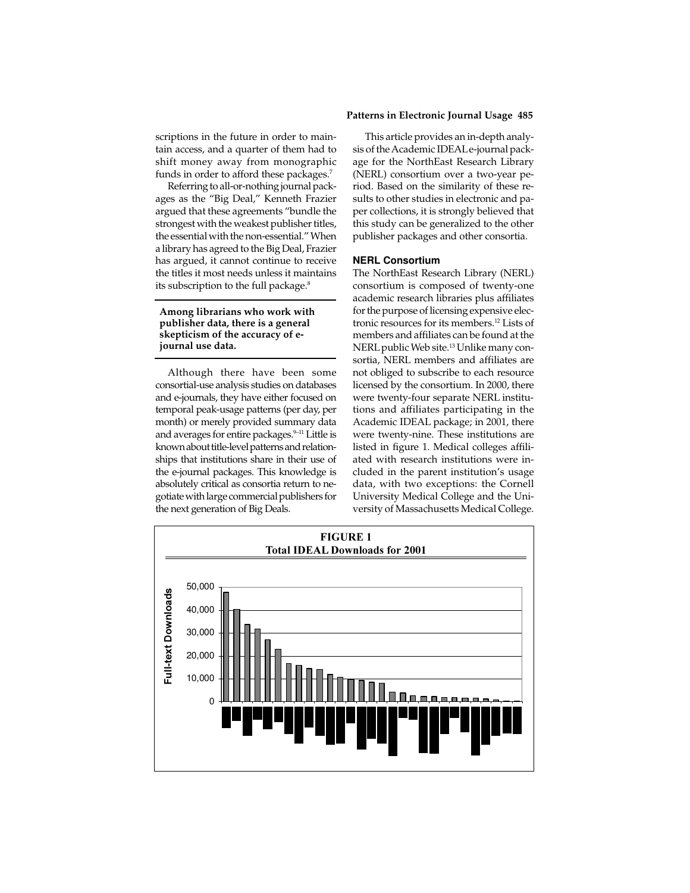scriptions in the future in order to maintain access, and a quarter of them had to shift money away from monographic funds in order to afford these packages.<sup>7</sup>

Referring to all-or-nothing journal packages as the "Big Deal," Kenneth Frazier argued that these agreements "bundle the strongest with the weakest publisher titles, the essential with the non-essential." When a library has agreed to the Big Deal, Frazier has argued, it cannot continue to receive the titles it most needs unless it maintains its subscription to the full package.<sup>8</sup>

**Among librarians who work with publisher data, there is a general skepticism of the accuracy of ejournal use data.**

Although there have been some consortial-use analysis studies on databases and e-journals, they have either focused on temporal peak-usage patterns (per day, per month) or merely provided summary data and averages for entire packages.<sup>9-11</sup> Little is known about title-level patterns and relationships that institutions share in their use of the e-journal packages. This knowledge is absolutely critical as consortia return to negotiate with large commercial publishers for the next generation of Big Deals.

### **Patterns in Electronic Journal Usage 485**

This article provides an in-depth analysis of the Academic IDEAL e-journal package for the NorthEast Research Library (NERL) consortium over a two-year period. Based on the similarity of these results to other studies in electronic and paper collections, it is strongly believed that this study can be generalized to the other publisher packages and other consortia.

### **NERL Consortium**

The NorthEast Research Library (NERL) consortium is composed of twenty-one academic research libraries plus affiliates for the purpose of licensing expensive electronic resources for its members.<sup>12</sup> Lists of members and affiliates can be found at the NERL public Web site.<sup>13</sup> Unlike many consortia, NERL members and affiliates are not obliged to subscribe to each resource licensed by the consortium. In 2000, there were twenty-four separate NERL institutions and affiliates participating in the Academic IDEAL package; in 2001, there were twenty-nine. These institutions are listed in figure 1. Medical colleges affiliated with research institutions were included in the parent institution's usage data, with two exceptions: the Cornell University Medical College and the University of Massachusetts Medical College.

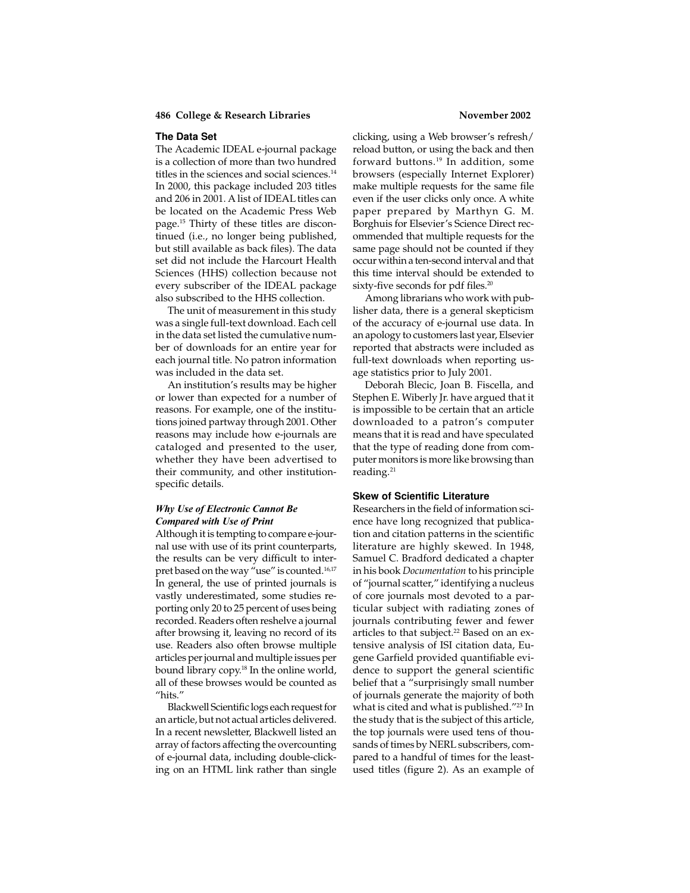### **The Data Set**

The Academic IDEAL e-journal package is a collection of more than two hundred titles in the sciences and social sciences.<sup>14</sup> In 2000, this package included 203 titles and 206 in 2001. A list of IDEAL titles can be located on the Academic Press Web page.15 Thirty of these titles are discontinued (i.e., no longer being published, but still available as back files). The data set did not include the Harcourt Health Sciences (HHS) collection because not every subscriber of the IDEAL package also subscribed to the HHS collection.

The unit of measurement in this study was a single full-text download. Each cell in the data set listed the cumulative number of downloads for an entire year for each journal title. No patron information was included in the data set.

An institution's results may be higher or lower than expected for a number of reasons. For example, one of the institutions joined partway through 2001. Other reasons may include how e-journals are cataloged and presented to the user, whether they have been advertised to their community, and other institutionspecific details.

### *Why Use of Electronic Cannot Be Compared with Use of Print*

Although it is tempting to compare e-journal use with use of its print counterparts, the results can be very difficult to interpret based on the way "use" is counted.<sup>16,17</sup> In general, the use of printed journals is vastly underestimated, some studies reporting only 20 to 25 percent of uses being recorded. Readers often reshelve a journal after browsing it, leaving no record of its use. Readers also often browse multiple articles per journal and multiple issues per bound library copy. <sup>18</sup> In the online world, all of these browses would be counted as "hits."

Blackwell Scientific logs each request for an article, but not actual articles delivered. In a recent newsletter, Blackwell listed an array of factors affecting the overcounting of e-journal data, including double-clicking on an HTML link rather than single clicking, using a Web browser's refresh/ reload button, or using the back and then forward buttons.<sup>19</sup> In addition, some browsers (especially Internet Explorer) make multiple requests for the same file even if the user clicks only once. A white paper prepared by Marthyn G. M. Borghuis for Elsevier's Science Direct recommended that multiple requests for the same page should not be counted if they occur within a ten-second interval and that this time interval should be extended to sixty-five seconds for pdf files.<sup>20</sup>

Among librarians who work with publisher data, there is a general skepticism of the accuracy of e-journal use data. In an apology to customers last year, Elsevier reported that abstracts were included as full-text downloads when reporting usage statistics prior to July 2001.

Deborah Blecic, Joan B. Fiscella, and Stephen E. Wiberly Jr. have argued that it is impossible to be certain that an article downloaded to a patron's computer means that it is read and have speculated that the type of reading done from computer monitors is more like browsing than reading.<sup>21</sup>

### **Skew of Scientific Literature**

Researchers in the field of information science have long recognized that publication and citation patterns in the scientific literature are highly skewed. In 1948, Samuel C. Bradford dedicated a chapter in his book *Documentation* to his principle of "journal scatter," identifying a nucleus of core journals most devoted to a particular subject with radiating zones of journals contributing fewer and fewer articles to that subject.<sup>22</sup> Based on an extensive analysis of ISI citation data, Eugene Garfield provided quantifiable evidence to support the general scientific belief that a "surprisingly small number of journals generate the majority of both what is cited and what is published."<sup>23</sup> In the study that is the subject of this article, the top journals were used tens of thousands of times by NERL subscribers, compared to a handful of times for the leastused titles (figure 2). As an example of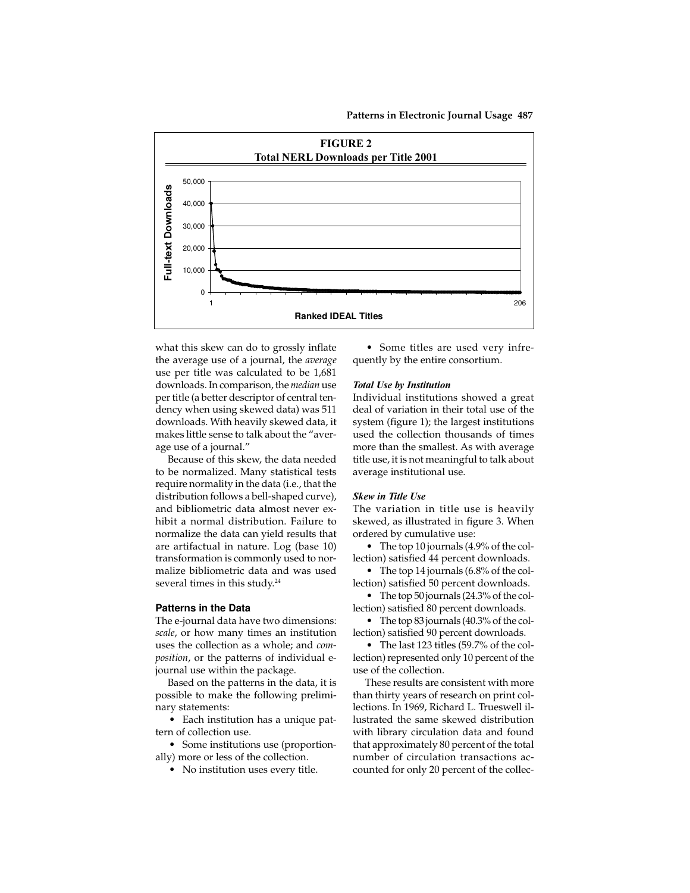

what this skew can do to grossly inflate the average use of a journal, the *average* use per title was calculated to be 1,681 downloads. In comparison, the *median* use per title (a better descriptor of central tendency when using skewed data) was 511 downloads. With heavily skewed data, it makes little sense to talk about the "average use of a journal."

Because of this skew, the data needed to be normalized. Many statistical tests require normality in the data (i.e., that the distribution follows a bell-shaped curve), and bibliometric data almost never exhibit a normal distribution. Failure to normalize the data can yield results that are artifactual in nature. Log (base 10) transformation is commonly used to normalize bibliometric data and was used several times in this study. 24

### **Patterns in the Data**

The e-journal data have two dimensions: *scale*, or how many times an institution uses the collection as a whole; and *composition*, or the patterns of individual ejournal use within the package.

Based on the patterns in the data, it is possible to make the following preliminary statements:

• Each institution has a unique pattern of collection use.

• Some institutions use (proportionally) more or less of the collection.

• No institution uses every title.

• Some titles are used very infrequently by the entire consortium.

### *Total Use by Institution*

Individual institutions showed a great deal of variation in their total use of the system (figure 1); the largest institutions used the collection thousands of times more than the smallest. As with average title use, it is not meaningful to talk about average institutional use.

### *Skew in Title Use*

The variation in title use is heavily skewed, as illustrated in figure 3. When ordered by cumulative use:

• The top 10 journals (4.9% of the collection) satisfied 44 percent downloads.

• The top 14 journals (6.8% of the collection) satisfied 50 percent downloads.

• The top 50 journals (24.3% of the collection) satisfied 80 percent downloads.

• The top 83 journals (40.3% of the collection) satisfied 90 percent downloads.

• The last 123 titles (59.7% of the collection) represented only 10 percent of the use of the collection.

These results are consistent with more than thirty years of research on print collections. In 1969, Richard L. Trueswell illustrated the same skewed distribution with library circulation data and found that approximately 80 percent of the total number of circulation transactions accounted for only 20 percent of the collec-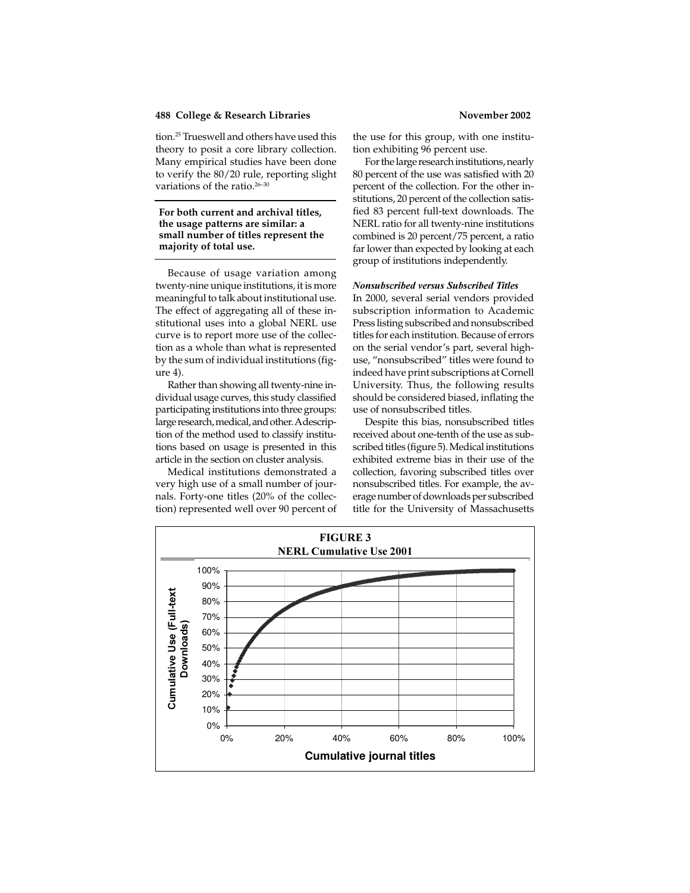tion.25 Trueswell and others have used this theory to posit a core library collection. Many empirical studies have been done to verify the 80/20 rule, reporting slight variations of the ratio.<sup>26-30</sup>

### **For both current and archival titles, the usage patterns are similar: a small number of titles represent the majority of total use.**

Because of usage variation among twenty-nine unique institutions, it is more meaningful to talk about institutional use. The effect of aggregating all of these institutional uses into a global NERL use curve is to report more use of the collection as a whole than what is represented by the sum of individual institutions (figure 4).

Rather than showing all twenty-nine individual usage curves, this study classified participating institutions into three groups: large research, medical, and other. A description of the method used to classify institutions based on usage is presented in this article in the section on cluster analysis.

Medical institutions demonstrated a very high use of a small number of journals. Forty-one titles (20% of the collection) represented well over 90 percent of the use for this group, with one institution exhibiting 96 percent use.

For the large research institutions, nearly 80 percent of the use was satisfied with 20 percent of the collection. For the other institutions, 20 percent of the collection satisfied 83 percent full-text downloads. The NERL ratio for all twenty-nine institutions combined is 20 percent/75 percent, a ratio far lower than expected by looking at each group of institutions independently.

### *Nonsubscribed versus Subscribed Titles*

In 2000, several serial vendors provided subscription information to Academic Press listing subscribed and nonsubscribed titles for each institution. Because of errors on the serial vendor's part, several highuse, "nonsubscribed" titles were found to indeed have print subscriptions at Cornell University. Thus, the following results should be considered biased, inflating the use of nonsubscribed titles.

Despite this bias, nonsubscribed titles received about one-tenth of the use as subscribed titles (figure 5). Medical institutions exhibited extreme bias in their use of the collection, favoring subscribed titles over nonsubscribed titles. For example, the average number of downloads per subscribed title for the University of Massachusetts

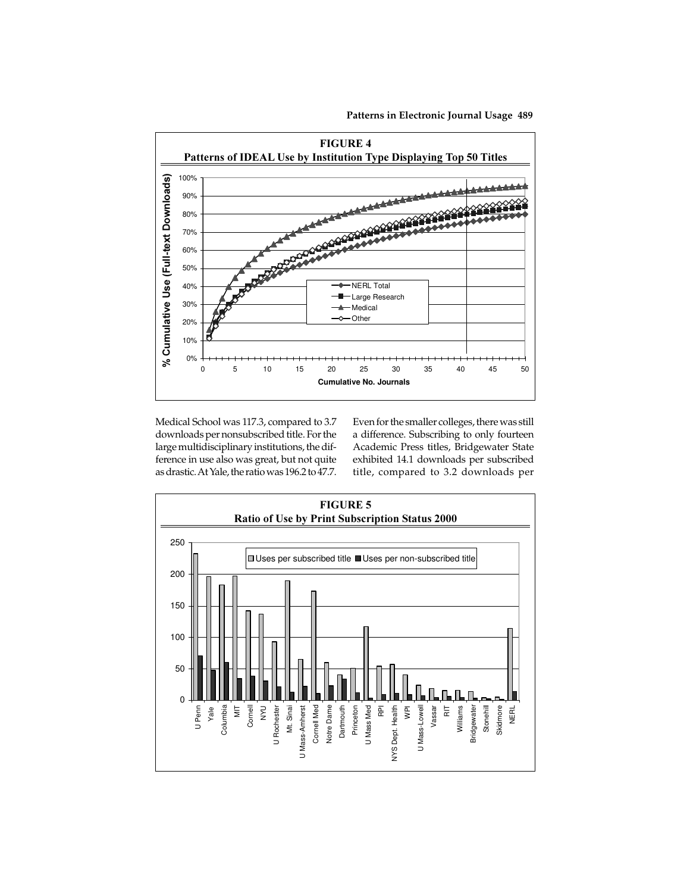

Medical School was 117.3, compared to 3.7 downloads per nonsubscribed title. For the large multidisciplinary institutions, the difference in use also was great, but not quite as drastic. At Yale, the ratio was 196.2 to 47.7.

Even for the smaller colleges, there was still a difference. Subscribing to only fourteen Academic Press titles, Bridgewater State exhibited 14.1 downloads per subscribed title, compared to 3.2 downloads per

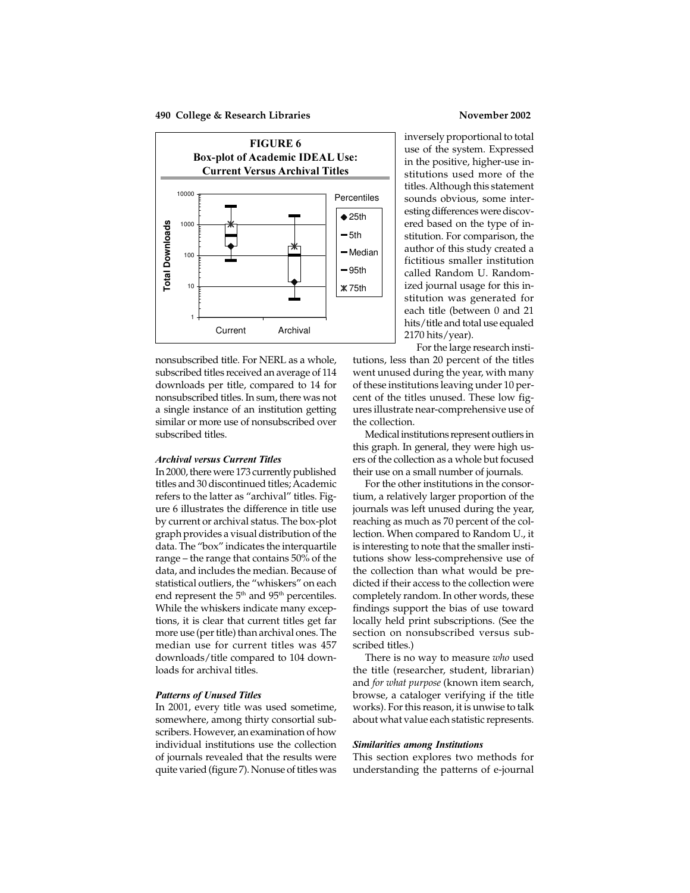

nonsubscribed title. For NERL as a whole, subscribed titles received an average of 114 downloads per title, compared to 14 for nonsubscribed titles. In sum, there was not a single instance of an institution getting similar or more use of nonsubscribed over subscribed titles.

### *Archival versus Current Titles*

In 2000, there were 173 currently published titles and 30 discontinued titles; Academic refers to the latter as "archival" titles. Figure 6 illustrates the difference in title use by current or archival status. The box-plot graph provides a visual distribution of the data. The "box" indicates the interquartile range – the range that contains 50% of the data, and includes the median. Because of statistical outliers, the "whiskers" on each end represent the 5<sup>th</sup> and 95<sup>th</sup> percentiles. While the whiskers indicate many exceptions, it is clear that current titles get far more use (per title) than archival ones. The median use for current titles was 457 downloads/title compared to 104 downloads for archival titles.

### *Patterns of Unused Titles*

In 2001, every title was used sometime, somewhere, among thirty consortial subscribers. However, an examination of how individual institutions use the collection of journals revealed that the results were quite varied (figure 7). Nonuse of titles was

inversely proportional to total use of the system. Expressed in the positive, higher-use institutions used more of the titles. Although this statement sounds obvious, some interesting differences were discovered based on the type of institution. For comparison, the author of this study created a fictitious smaller institution called Random U. Randomized journal usage for this institution was generated for each title (between 0 and 21 hits/title and total use equaled 2170 hits/year).

For the large research insti-

tutions, less than 20 percent of the titles went unused during the year, with many of these institutions leaving under 10 percent of the titles unused. These low figures illustrate near-comprehensive use of the collection.

Medical institutions represent outliers in this graph. In general, they were high users of the collection as a whole but focused their use on a small number of journals.

For the other institutions in the consortium, a relatively larger proportion of the journals was left unused during the year, reaching as much as 70 percent of the collection. When compared to Random U., it is interesting to note that the smaller institutions show less-comprehensive use of the collection than what would be predicted if their access to the collection were completely random. In other words, these findings support the bias of use toward locally held print subscriptions. (See the section on nonsubscribed versus subscribed titles.)

There is no way to measure *who* used the title (researcher, student, librarian) and *for what purpose* (known item search, browse, a cataloger verifying if the title works). For this reason, it is unwise to talk about what value each statistic represents.

### *Similarities among Institutions*

This section explores two methods for understanding the patterns of e-journal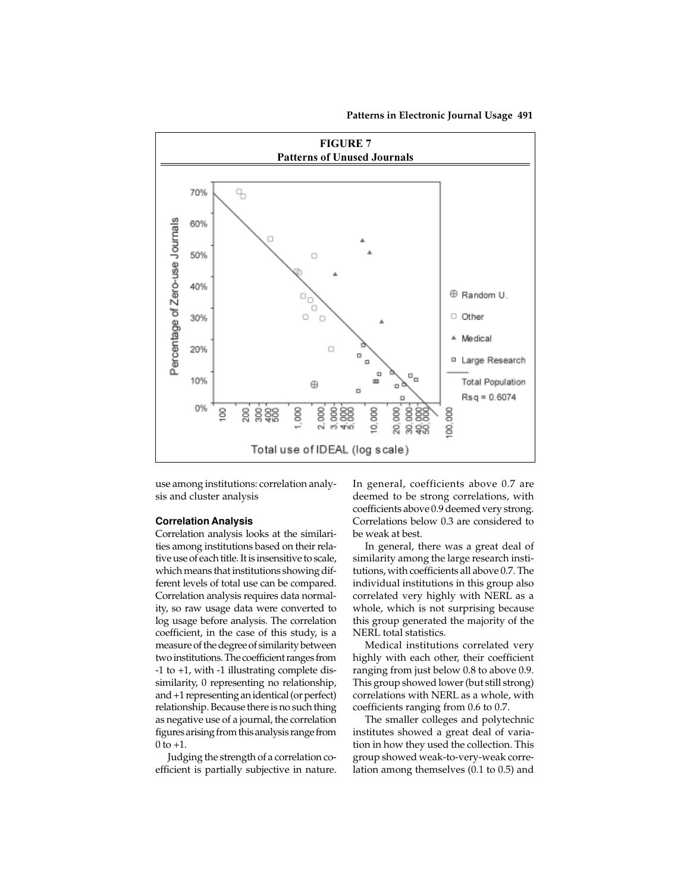

use among institutions: correlation analysis and cluster analysis

### **Correlation Analysis**

Correlation analysis looks at the similarities among institutions based on their relative use of each title. It is insensitive to scale, which means that institutions showing different levels of total use can be compared. Correlation analysis requires data normality, so raw usage data were converted to log usage before analysis. The correlation coefficient, in the case of this study, is a measure of the degree of similarity between two institutions. The coefficient ranges from -1 to +1, with -1 illustrating complete dissimilarity, 0 representing no relationship, and +1 representing an identical (or perfect) relationship. Because there is no such thing as negative use of a journal, the correlation figures arising from this analysis range from  $0$  to  $+1$ .

Judging the strength of a correlation coefficient is partially subjective in nature.

In general, coefficients above 0.7 are deemed to be strong correlations, with coefficients above 0.9 deemed very strong. Correlations below 0.3 are considered to be weak at best.

In general, there was a great deal of similarity among the large research institutions, with coefficients all above 0.7. The individual institutions in this group also correlated very highly with NERL as a whole, which is not surprising because this group generated the majority of the NERL total statistics.

Medical institutions correlated very highly with each other, their coefficient ranging from just below 0.8 to above 0.9. This group showed lower (but still strong) correlations with NERL as a whole, with coefficients ranging from 0.6 to 0.7.

The smaller colleges and polytechnic institutes showed a great deal of variation in how they used the collection. This group showed weak-to-very-weak correlation among themselves (0.1 to 0.5) and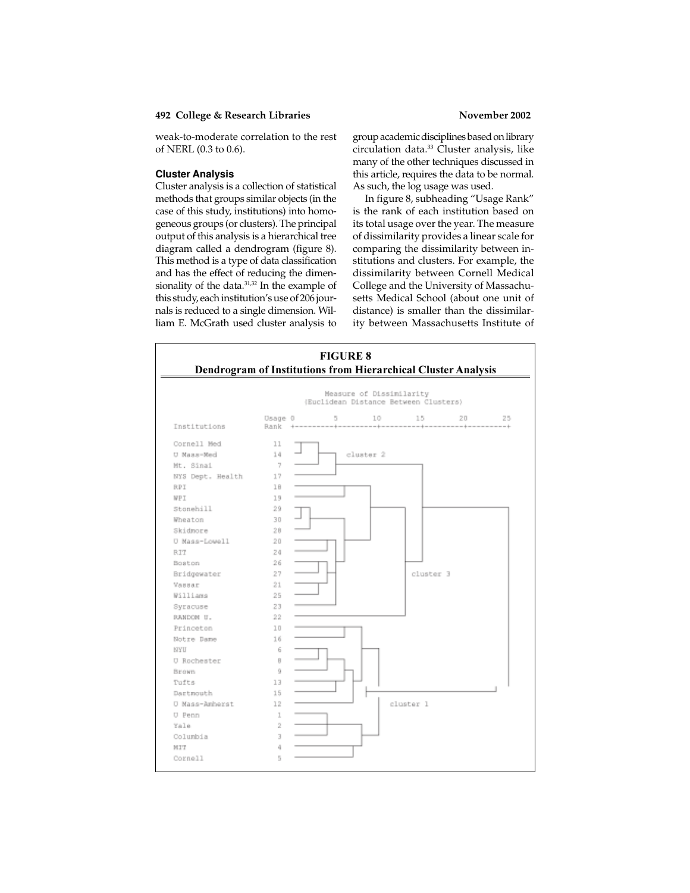weak-to-moderate correlation to the rest of NERL (0.3 to 0.6).

### **Cluster Analysis**

Cluster analysis is a collection of statistical methods that groups similar objects (in the case of this study, institutions) into homogeneous groups (or clusters). The principal output of this analysis is a hierarchical tree diagram called a dendrogram (figure 8). This method is a type of data classification and has the effect of reducing the dimensionality of the data.31,32 In the example of this study, each institution's use of 206 journals is reduced to a single dimension. William E. McGrath used cluster analysis to

group academic disciplines based on library circulation data.<sup>33</sup> Cluster analysis, like many of the other techniques discussed in this article, requires the data to be normal. As such, the log usage was used.

In figure 8, subheading "Usage Rank" is the rank of each institution based on its total usage over the year. The measure of dissimilarity provides a linear scale for comparing the dissimilarity between institutions and clusters. For example, the dissimilarity between Cornell Medical College and the University of Massachusetts Medical School (about one unit of distance) is smaller than the dissimilarity between Massachusetts Institute of

| <b>FIGURE 8</b><br>Dendrogram of Institutions from Hierarchical Cluster Analysis                                                                                                                                                                                                                    |                                                                                                                                                             |                        |  |  |  |
|-----------------------------------------------------------------------------------------------------------------------------------------------------------------------------------------------------------------------------------------------------------------------------------------------------|-------------------------------------------------------------------------------------------------------------------------------------------------------------|------------------------|--|--|--|
| Measure of Dissimilarity<br>(Euclidean Distance Between Clusters)                                                                                                                                                                                                                                   |                                                                                                                                                             |                        |  |  |  |
| Institutions                                                                                                                                                                                                                                                                                        | Usage 0<br>Bank                                                                                                                                             |                        |  |  |  |
| Cornell Med<br>U Mass-Med<br>Mt. Sinai<br>NYS Dept. Health<br>RPI<br>WPI<br>Stonehill<br>Wheaton<br>Skidmore<br>U Mass-Lowell<br>RIT<br>Boston<br>Bridgewater<br>Vassar<br>Williams<br>Syracuse<br>RANDON U.<br>Princeton<br>Notre Dane<br>NYU<br>U Rochester<br><b>Brown</b><br>Tufts<br>Dartmouth | 11<br>14<br>- 7<br>17<br>18<br>19<br>29<br>30<br>28<br>$20 -$<br>24<br>26<br>27<br>21<br>25<br>23<br>22<br>10<br>16<br>6<br>$\overline{B}$<br>9<br>13<br>15 | cluster 2<br>cluster 3 |  |  |  |
| U Mass-Amberst<br>U Penn<br>Yale<br>Columbia<br>MIT<br>Cornell                                                                                                                                                                                                                                      | 12<br>1<br>2<br>$\overline{3}$<br>4<br>5                                                                                                                    | cluster 1              |  |  |  |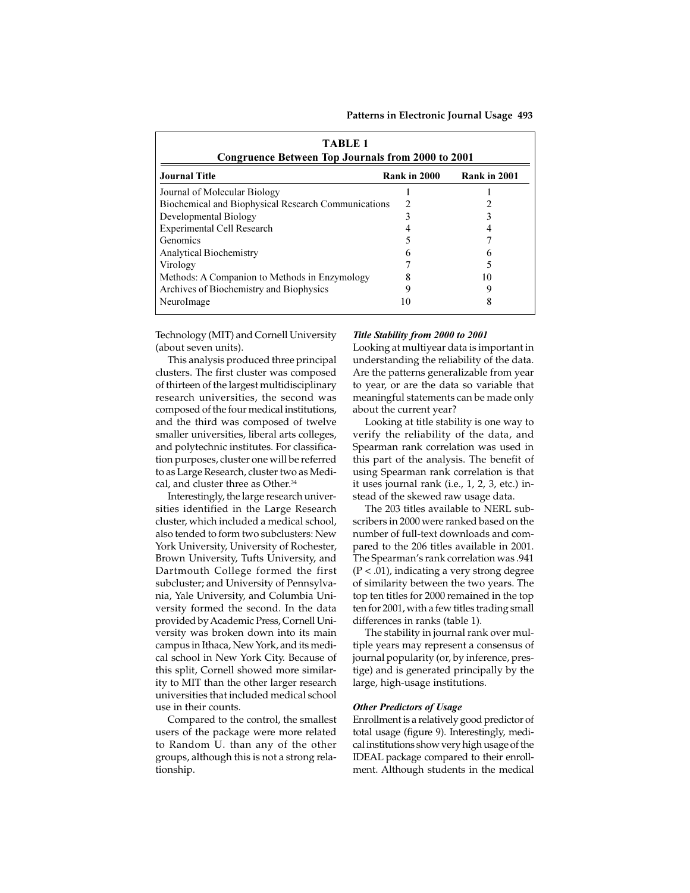| <b>TABLE 1</b>                                      |              |              |  |  |
|-----------------------------------------------------|--------------|--------------|--|--|
| Congruence Between Top Journals from 2000 to 2001   |              |              |  |  |
| <b>Journal Title</b>                                | Rank in 2000 | Rank in 2001 |  |  |
| Journal of Molecular Biology                        |              |              |  |  |
| Biochemical and Biophysical Research Communications |              |              |  |  |
| Developmental Biology                               |              |              |  |  |
| Experimental Cell Research                          |              |              |  |  |
| Genomics                                            |              |              |  |  |
| <b>Analytical Biochemistry</b>                      |              |              |  |  |
| Virology                                            |              |              |  |  |
| Methods: A Companion to Methods in Enzymology       |              | 10           |  |  |
| Archives of Biochemistry and Biophysics             | Q            | Q            |  |  |
| NeuroImage                                          |              |              |  |  |

Technology (MIT) and Cornell University (about seven units).

This analysis produced three principal clusters. The first cluster was composed of thirteen of the largest multidisciplinary research universities, the second was composed of the four medical institutions, and the third was composed of twelve smaller universities, liberal arts colleges, and polytechnic institutes. For classification purposes, cluster one will be referred to as Large Research, cluster two as Medical, and cluster three as Other. 34

Interestingly, the large research universities identified in the Large Research cluster, which included a medical school, also tended to form two subclusters: New York University, University of Rochester, Brown University, Tufts University, and Dartmouth College formed the first subcluster; and University of Pennsylvania, Yale University, and Columbia University formed the second. In the data provided by Academic Press, Cornell University was broken down into its main campus in Ithaca, New York, and its medical school in New York City. Because of this split, Cornell showed more similarity to MIT than the other larger research universities that included medical school use in their counts.

Compared to the control, the smallest users of the package were more related to Random U. than any of the other groups, although this is not a strong relationship.

### *Title Stability from 2000 to 2001*

Looking at multiyear data is important in understanding the reliability of the data. Are the patterns generalizable from year to year, or are the data so variable that meaningful statements can be made only about the current year?

Looking at title stability is one way to verify the reliability of the data, and Spearman rank correlation was used in this part of the analysis. The benefit of using Spearman rank correlation is that it uses journal rank (i.e., 1, 2, 3, etc.) instead of the skewed raw usage data.

The 203 titles available to NERL subscribers in 2000 were ranked based on the number of full-text downloads and compared to the 206 titles available in 2001. The Spearman's rank correlation was .941 (P < .01), indicating a very strong degree of similarity between the two years. The top ten titles for 2000 remained in the top ten for 2001, with a few titles trading small differences in ranks (table 1).

The stability in journal rank over multiple years may represent a consensus of journal popularity (or, by inference, prestige) and is generated principally by the large, high-usage institutions.

### *Other Predictors of Usage*

Enrollment is a relatively good predictor of total usage (figure 9). Interestingly, medical institutions show very high usage of the IDEAL package compared to their enrollment. Although students in the medical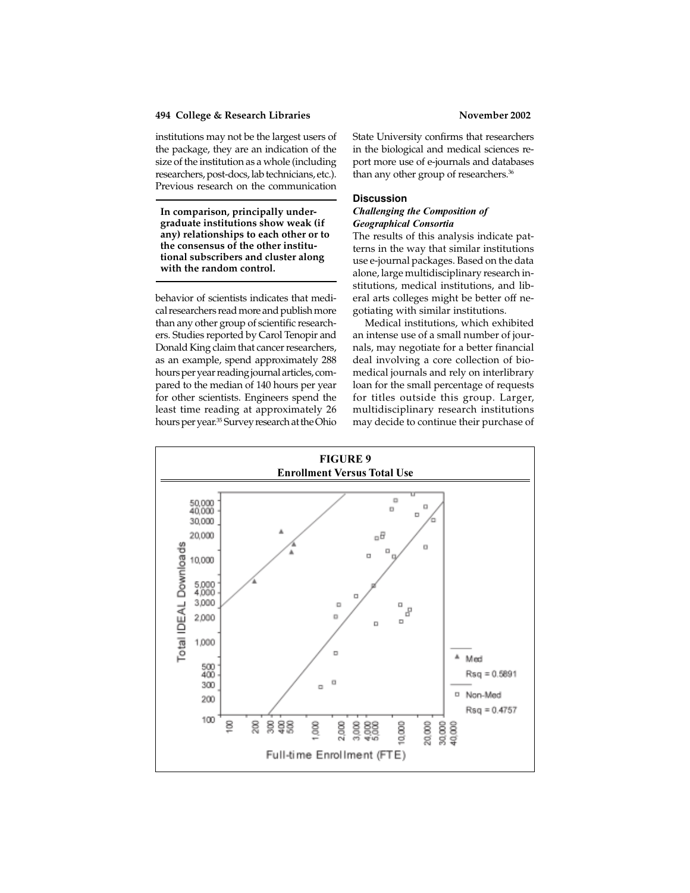institutions may not be the largest users of the package, they are an indication of the size of the institution as a whole (including researchers, post-docs, lab technicians, etc.). Previous research on the communication

**In comparison, principally undergraduate institutions show weak (if any) relationships to each other or to the consensus of the other institutional subscribers and cluster along with the random control.**

behavior of scientists indicates that medical researchers read more and publish more than any other group of scientific researchers. Studies reported by Carol Tenopir and Donald King claim that cancer researchers, as an example, spend approximately 288 hours per year reading journal articles, compared to the median of 140 hours per year for other scientists. Engineers spend the least time reading at approximately 26 hours per year. <sup>35</sup> Survey research at the Ohio

State University confirms that researchers in the biological and medical sciences report more use of e-journals and databases than any other group of researchers.<sup>36</sup>

### **Discussion**

### *Challenging the Composition of Geographical Consortia*

The results of this analysis indicate patterns in the way that similar institutions use e-journal packages. Based on the data alone, large multidisciplinary research institutions, medical institutions, and liberal arts colleges might be better off negotiating with similar institutions.

Medical institutions, which exhibited an intense use of a small number of journals, may negotiate for a better financial deal involving a core collection of biomedical journals and rely on interlibrary loan for the small percentage of requests for titles outside this group. Larger, multidisciplinary research institutions may decide to continue their purchase of

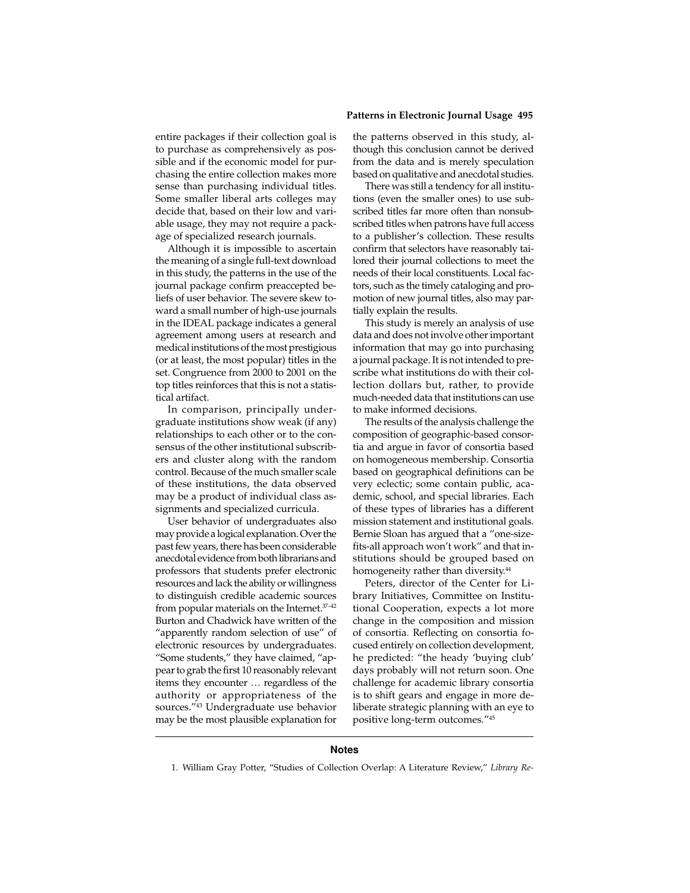entire packages if their collection goal is to purchase as comprehensively as possible and if the economic model for purchasing the entire collection makes more sense than purchasing individual titles. Some smaller liberal arts colleges may decide that, based on their low and variable usage, they may not require a package of specialized research journals.

Although it is impossible to ascertain the meaning of a single full-text download in this study, the patterns in the use of the journal package confirm preaccepted beliefs of user behavior. The severe skew toward a small number of high-use journals in the IDEAL package indicates a general agreement among users at research and medical institutions of the most prestigious (or at least, the most popular) titles in the set. Congruence from 2000 to 2001 on the top titles reinforces that this is not a statistical artifact.

In comparison, principally undergraduate institutions show weak (if any) relationships to each other or to the consensus of the other institutional subscribers and cluster along with the random control. Because of the much smaller scale of these institutions, the data observed may be a product of individual class assignments and specialized curricula.

User behavior of undergraduates also may provide a logical explanation. Over the past few years, there has been considerable anecdotal evidence from both librarians and professors that students prefer electronic resources and lack the ability or willingness to distinguish credible academic sources from popular materials on the Internet.37–42 Burton and Chadwick have written of the "apparently random selection of use" of electronic resources by undergraduates. "Some students," they have claimed, "appear to grab the first 10 reasonably relevant items they encounter … regardless of the authority or appropriateness of the sources."43 Undergraduate use behavior may be the most plausible explanation for

the patterns observed in this study, although this conclusion cannot be derived from the data and is merely speculation based on qualitative and anecdotal studies.

There was still a tendency for all institutions (even the smaller ones) to use subscribed titles far more often than nonsubscribed titles when patrons have full access to a publisher's collection. These results confirm that selectors have reasonably tailored their journal collections to meet the needs of their local constituents. Local factors, such as the timely cataloging and promotion of new journal titles, also may partially explain the results.

This study is merely an analysis of use data and does not involve other important information that may go into purchasing a journal package. It is not intended to prescribe what institutions do with their collection dollars but, rather, to provide much-needed data that institutions can use to make informed decisions.

The results of the analysis challenge the composition of geographic-based consortia and argue in favor of consortia based on homogeneous membership. Consortia based on geographical definitions can be very eclectic; some contain public, academic, school, and special libraries. Each of these types of libraries has a different mission statement and institutional goals. Bernie Sloan has argued that a "one-sizefits-all approach won't work" and that institutions should be grouped based on homogeneity rather than diversity. 44

Peters, director of the Center for Library Initiatives, Committee on Institutional Cooperation, expects a lot more change in the composition and mission of consortia. Reflecting on consortia focused entirely on collection development, he predicted: "the heady 'buying club' days probably will not return soon. One challenge for academic library consortia is to shift gears and engage in more deliberate strategic planning with an eye to positive long-term outcomes."<sup>45</sup>

### **Notes**

<sup>1.</sup> William Gray Potter, "Studies of Collection Overlap: A Literature Review," *Library Re-*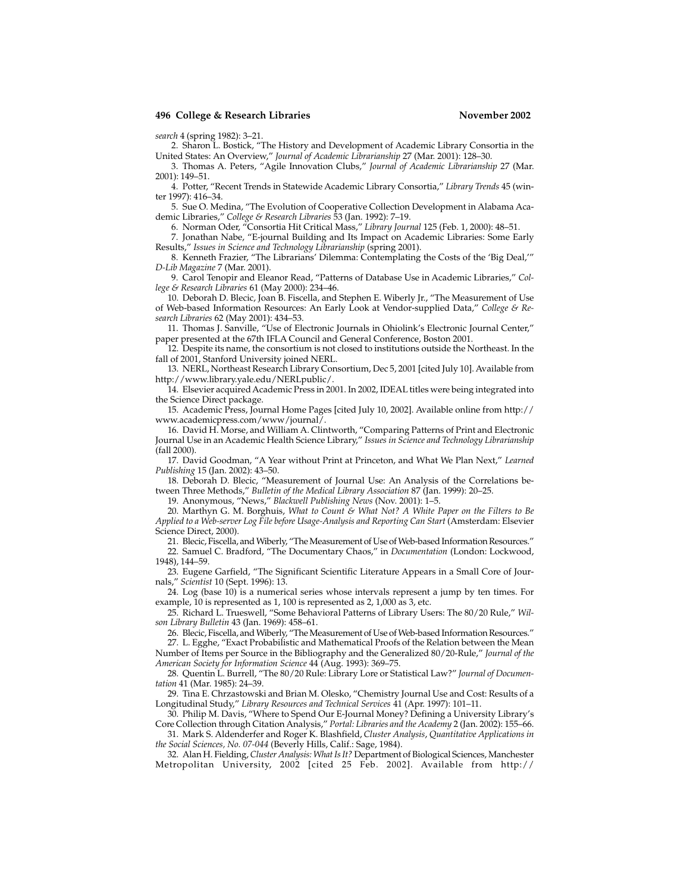*search* 4 (spring 1982): 3–21.

2. Sharon L. Bostick, "The History and Development of Academic Library Consortia in the United States: An Overview," *Journal of Academic Librarianship* 27 (Mar. 2001): 128–30.

3. Thomas A. Peters, "Agile Innovation Clubs," *Journal of Academic Librarianship* 27 (Mar. 2001): 149–51.

4. Potter, "Recent Trends in Statewide Academic Library Consortia," *Library Trends* 45 (winter 1997): 416–34.

5. Sue O. Medina, "The Evolution of Cooperative Collection Development in Alabama Academic Libraries," *College & Research Libraries* 53 (Jan. 1992): 7–19.

6. Norman Oder, "Consortia Hit Critical Mass," *Library Journal* 125 (Feb. 1, 2000): 48–51.

7. Jonathan Nabe, "E-journal Building and Its Impact on Academic Libraries: Some Early Results," *Issues in Science and Technology Librarianship* (spring 2001).

8. Kenneth Frazier, "The Librarians' Dilemma: Contemplating the Costs of the 'Big Deal,'" *D-Lib Magazine* 7 (Mar. 2001).

9. Carol Tenopir and Eleanor Read, "Patterns of Database Use in Academic Libraries," *College & Research Libraries* 61 (May 2000): 234–46.

10. Deborah D. Blecic, Joan B. Fiscella, and Stephen E. Wiberly Jr., "The Measurement of Use of Web-based Information Resources: An Early Look at Vendor-supplied Data," *College & Research Libraries* 62 (May 2001): 434–53.

11. Thomas J. Sanville, "Use of Electronic Journals in Ohiolink's Electronic Journal Center," paper presented at the 67th IFLA Council and General Conference, Boston 2001.

12. Despite its name, the consortium is not closed to institutions outside the Northeast. In the fall of 2001, Stanford University joined NERL.

13. NERL, Northeast Research Library Consortium, Dec 5, 2001 [cited July 10]. Available from http://www.library.yale.edu/NERLpublic/.

14. Elsevier acquired Academic Press in 2001. In 2002, IDEAL titles were being integrated into the Science Direct package.

15. Academic Press, Journal Home Pages [cited July 10, 2002]. Available online from http:// www.academicpress.com/www/journal/.

16. David H. Morse, and William A. Clintworth, "Comparing Patterns of Print and Electronic Journal Use in an Academic Health Science Library," *Issues in Science and Technology Librarianship* (fall 2000).

17. David Goodman, "A Year without Print at Princeton, and What We Plan Next," *Learned Publishing* 15 (Jan. 2002): 43–50.

18. Deborah D. Blecic, "Measurement of Journal Use: An Analysis of the Correlations between Three Methods," *Bulletin of the Medical Library Association* 87 (Jan. 1999): 20–25.

19. Anonymous, "News," *Blackwell Publishing News* (Nov. 2001): 1–5.

20. Marthyn G. M. Borghuis, *What to Count & What Not? A White Paper on the Filters to Be Applied to a Web-server Log File before Usage-Analysis and Reporting Can Start* (Amsterdam: Elsevier Science Direct, 2000).

21. Blecic, Fiscella, and Wiberly, "The Measurement of Use of Web-based Information Resources."

22. Samuel C. Bradford, "The Documentary Chaos," in *Documentation* (London: Lockwood, 1948), 144–59.

23. Eugene Garfield, "The Significant Scientific Literature Appears in a Small Core of Journals," *Scientist* 10 (Sept. 1996): 13.

24. Log (base 10) is a numerical series whose intervals represent a jump by ten times. For example, 10 is represented as 1, 100 is represented as 2, 1,000 as 3, etc.

25. Richard L. Trueswell, "Some Behavioral Patterns of Library Users: The 80/20 Rule," *Wilson Library Bulletin* 43 (Jan. 1969): 458–61.

26. Blecic, Fiscella, and Wiberly, "The Measurement of Use of Web-based Information Resources."

27. L. Egghe, "Exact Probabilistic and Mathematical Proofs of the Relation between the Mean Number of Items per Source in the Bibliography and the Generalized 80/20-Rule," *Journal of the American Society for Information Science* 44 (Aug. 1993): 369–75.

28. Quentin L. Burrell, "The 80/20 Rule: Library Lore or Statistical Law?" *Journal of Documentation* 41 (Mar. 1985): 24–39.

29. Tina E. Chrzastowski and Brian M. Olesko, "Chemistry Journal Use and Cost: Results of a Longitudinal Study," *Library Resources and Technical Services* 41 (Apr. 1997): 101–11.

30. Philip M. Davis, "Where to Spend Our E-Journal Money? Defining a University Library's Core Collection through Citation Analysis," *Portal: Libraries and the Academy* 2 (Jan. 2002): 155–66.

31. Mark S. Aldenderfer and Roger K. Blashfield, *Cluster Analysis*, *Quantitative Applications in the Social Sciences, No. 07-044* (Beverly Hills, Calif.: Sage, 1984).

32. Alan H. Fielding, *Cluster Analysis: What Is It?* Department of Biological Sciences, Manchester Metropolitan University, 2002 [cited 25 Feb. 2002]. Available from http://